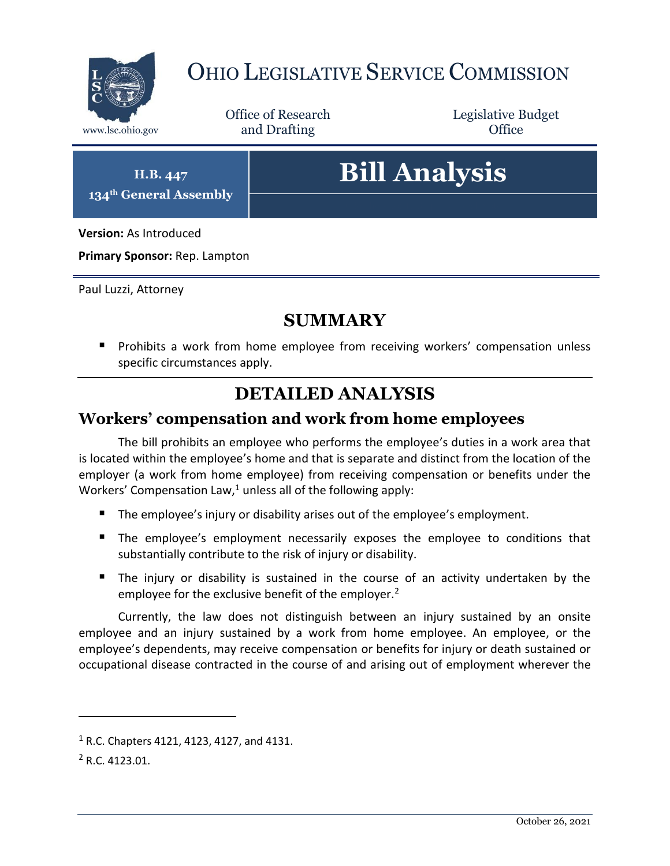

## OHIO LEGISLATIVE SERVICE COMMISSION

Office of Research www.lsc.ohio.gov **and Drafting Office** 

Legislative Budget

**H.B. 447 134th General Assembly**

# **Bill Analysis**

**Version:** As Introduced

**Primary Sponsor:** Rep. Lampton

Paul Luzzi, Attorney

#### **SUMMARY**

**Prohibits a work from home employee from receiving workers' compensation unless** specific circumstances apply.

### **DETAILED ANALYSIS**

#### **Workers' compensation and work from home employees**

The bill prohibits an employee who performs the employee's duties in a work area that is located within the employee's home and that is separate and distinct from the location of the employer (a work from home employee) from receiving compensation or benefits under the Workers' Compensation Law, $1$  unless all of the following apply:

- The employee's injury or disability arises out of the employee's employment.
- The employee's employment necessarily exposes the employee to conditions that substantially contribute to the risk of injury or disability.
- The injury or disability is sustained in the course of an activity undertaken by the employee for the exclusive benefit of the employer.<sup>2</sup>

Currently, the law does not distinguish between an injury sustained by an onsite employee and an injury sustained by a work from home employee. An employee, or the employee's dependents, may receive compensation or benefits for injury or death sustained or occupational disease contracted in the course of and arising out of employment wherever the

 $\overline{a}$ 

<sup>1</sup> R.C. Chapters 4121, 4123, 4127, and 4131.

<sup>2</sup> R.C. 4123.01.